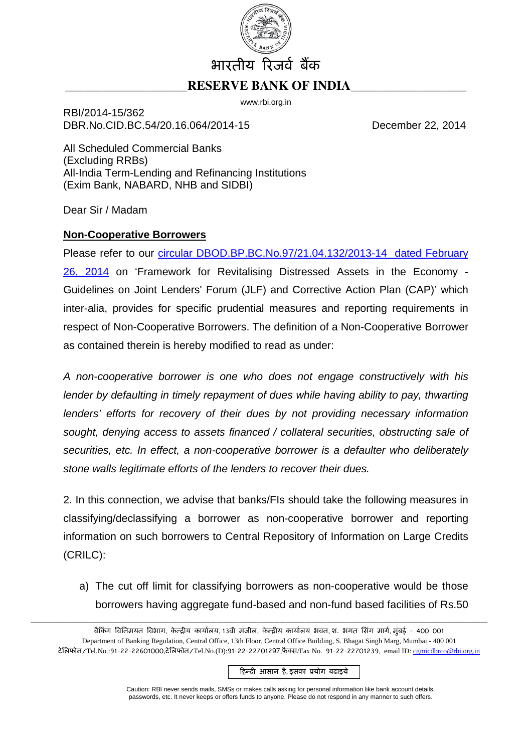

## **RESERVE BANK OF INDIA**

www.rbi.org.in

RBI/2014-15/362 DBR.No.CID.BC.54/20.16.064/2014-15 December 22, 2014

All Scheduled Commercial Banks (Excluding RRBs) All-India Term-Lending and Refinancing Institutions (Exim Bank, NABARD, NHB and SIDBI)

Dear Sir / Madam

## **Non-Cooperative Borrowers**

Please refer to our *circular DBOD.BP.BC.No.97/21.04.132/2013-14* dated February [26, 2014](http://www.rbi.org.in/scripts/NotificationUser.aspx?Id=8754&Mode=0) on 'Framework for Revitalising Distressed Assets in the Economy - Guidelines on Joint Lenders' Forum (JLF) and Corrective Action Plan (CAP)' which inter-alia, provides for specific prudential measures and reporting requirements in respect of Non-Cooperative Borrowers. The definition of a Non-Cooperative Borrower as contained therein is hereby modified to read as under:

*A non-cooperative borrower is one who does not engage constructively with his*  lender by defaulting in timely repayment of dues while having ability to pay, thwarting *lenders' efforts for recovery of their dues by not providing necessary information sought, denying access to assets financed / collateral securities, obstructing sale of securities, etc. In effect, a non-cooperative borrower is a defaulter who deliberately stone walls legitimate efforts of the lenders to recover their dues.* 

2. In this connection, we advise that banks/FIs should take the following measures in classifying/declassifying a borrower as non-cooperative borrower and reporting information on such borrowers to Central Repository of Information on Large Credits (CRILC):

a) The cut off limit for classifying borrowers as non-cooperative would be those borrowers having aggregate fund-based and non-fund based facilities of Rs.50

\_\_\_\_\_\_\_\_\_\_\_\_\_\_\_\_\_\_\_\_\_\_\_\_\_\_\_\_\_\_\_\_\_\_\_\_\_\_\_\_\_\_\_\_\_\_\_\_\_\_\_\_\_\_\_\_\_\_\_\_\_\_\_\_\_\_\_\_\_\_\_\_\_\_\_\_\_\_\_\_\_\_\_\_\_\_\_\_\_\_\_\_\_\_\_\_\_\_\_\_\_\_\_\_\_\_\_\_\_\_\_\_\_\_\_\_\_\_\_\_\_\_\_\_\_\_\_\_\_\_\_\_\_\_\_\_\_\_\_\_\_\_\_\_\_

हिन्दी आसान है, इसका प्रयोग बढाइये

Caution: RBI never sends mails, SMSs or makes calls asking for personal information like bank account details, passwords, etc. It never keeps or offers funds to anyone. Please do not respond in any manner to such offers.

बैकिंग विनिमयन विभाग, केन्द्रीय कार्यालय, 13वी मंजील, केन्द्रीय कार्यालय भवन, श. भगत सिंग मार्ग, मुंबई - 400 001 Department of Banking Regulation, Central Office, 13th Floor, Central Office Building, S. Bhagat Singh Marg, Mumbai - 400 001 टेलिफोन/Tel.No.:91-22-22601000,टेलिफोन/Tel.No.(D):91-22-22701297,फैक्स/Fax No. 91-22-22701239, email ID: cgmicdbrco@rbi.org.in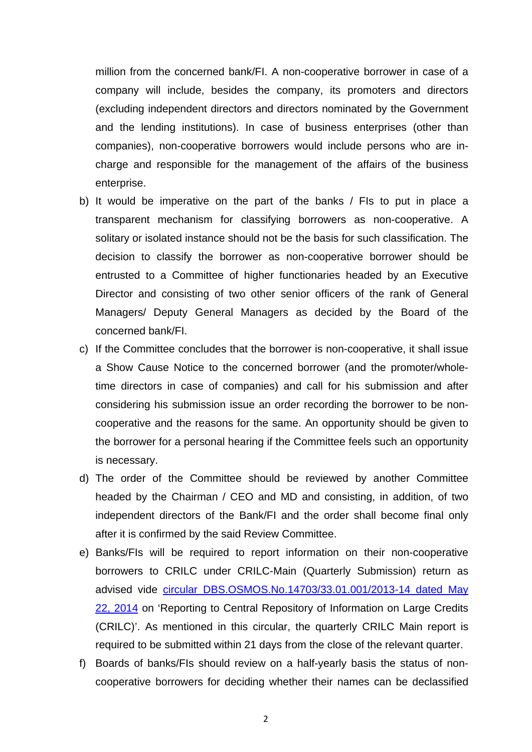million from the concerned bank/FI. A non-cooperative borrower in case of a company will include, besides the company, its promoters and directors (excluding independent directors and directors nominated by the Government and the lending institutions). In case of business enterprises (other than companies), non-cooperative borrowers would include persons who are incharge and responsible for the management of the affairs of the business enterprise.

- b) It would be imperative on the part of the banks / FIs to put in place a transparent mechanism for classifying borrowers as non-cooperative. A solitary or isolated instance should not be the basis for such classification. The decision to classify the borrower as non-cooperative borrower should be entrusted to a Committee of higher functionaries headed by an Executive Director and consisting of two other senior officers of the rank of General Managers/ Deputy General Managers as decided by the Board of the concerned bank/FI.
- c) If the Committee concludes that the borrower is non-cooperative, it shall issue a Show Cause Notice to the concerned borrower (and the promoter/wholetime directors in case of companies) and call for his submission and after considering his submission issue an order recording the borrower to be noncooperative and the reasons for the same. An opportunity should be given to the borrower for a personal hearing if the Committee feels such an opportunity is necessary.
- d) The order of the Committee should be reviewed by another Committee headed by the Chairman / CEO and MD and consisting, in addition, of two independent directors of the Bank/FI and the order shall become final only after it is confirmed by the said Review Committee.
- e) Banks/FIs will be required to report information on their non-cooperative borrowers to CRILC under CRILC-Main (Quarterly Submission) return as advised vide [circular DBS.OSMOS.No.14703/33.01.001/2013-14 dated May](http://www.rbi.org.in/scripts/NotificationUser.aspx?Id=8894&Mode=0)  [22, 2014](http://www.rbi.org.in/scripts/NotificationUser.aspx?Id=8894&Mode=0) on 'Reporting to Central Repository of Information on Large Credits (CRILC)'. As mentioned in this circular, the quarterly CRILC Main report is required to be submitted within 21 days from the close of the relevant quarter.
- f) Boards of banks/FIs should review on a half-yearly basis the status of noncooperative borrowers for deciding whether their names can be declassified